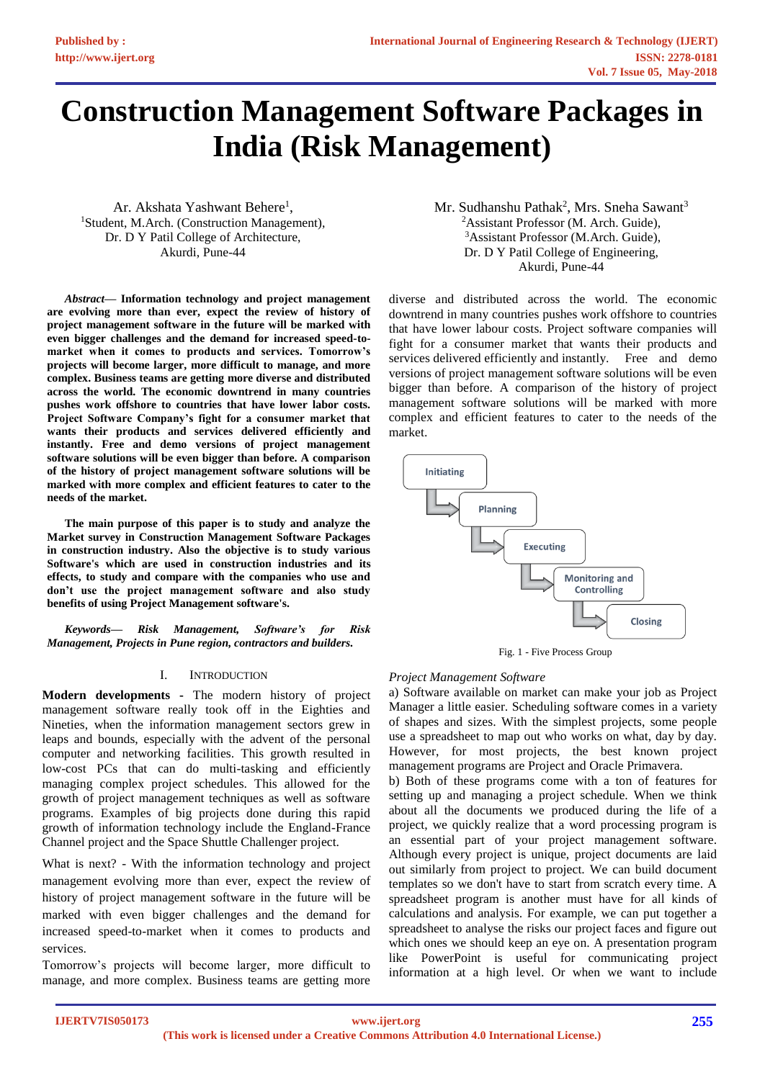# **Construction Management Software Packages in India (Risk Management)**

Ar. Akshata Yashwant Behere<sup>1</sup>, <sup>1</sup>Student, M.Arch. (Construction Management), Dr. D Y Patil College of Architecture, Akurdi, Pune-44

*Abstract***— Information technology and project management are evolving more than ever, expect the review of history of project management software in the future will be marked with even bigger challenges and the demand for increased speed-tomarket when it comes to products and services. Tomorrow's projects will become larger, more difficult to manage, and more complex. Business teams are getting more diverse and distributed across the world. The economic downtrend in many countries pushes work offshore to countries that have lower labor costs. Project Software Company's fight for a consumer market that wants their products and services delivered efficiently and instantly. Free and demo versions of project management software solutions will be even bigger than before. A comparison of the history of project management software solutions will be marked with more complex and efficient features to cater to the needs of the market.**

**The main purpose of this paper is to study and analyze the Market survey in Construction Management Software Packages in construction industry. Also the objective is to study various Software's which are used in construction industries and its effects, to study and compare with the companies who use and don't use the project management software and also study benefits of using Project Management software's.**

*Keywords— Risk Management, Software's for Risk Management, Projects in Pune region, contractors and builders.*

# I. INTRODUCTION

**Modern developments -** The modern history of project management software really took off in the Eighties and Nineties, when the information management sectors grew in leaps and bounds, especially with the advent of the personal computer and networking facilities. This growth resulted in low-cost PCs that can do multi-tasking and efficiently managing complex project schedules. This allowed for the growth of project management techniques as well as software programs. Examples of big projects done during this rapid growth of information technology include the England-France Channel project and the Space Shuttle Challenger project.

What is next? - With the information technology and project management evolving more than ever, expect the review of history of project management software in the future will be marked with even bigger challenges and the demand for increased speed-to-market when it comes to products and services.

Tomorrow's projects will become larger, more difficult to manage, and more complex. Business teams are getting more Mr. Sudhanshu Pathak<sup>2</sup>, Mrs. Sneha Sawant<sup>3</sup> <sup>2</sup>Assistant Professor (M. Arch. Guide), <sup>3</sup>Assistant Professor (M.Arch. Guide), Dr. D Y Patil College of Engineering, Akurdi, Pune-44

diverse and distributed across the world. The economic downtrend in many countries pushes work offshore to countries that have lower labour costs. Project software companies will fight for a consumer market that wants their products and services delivered efficiently and instantly. Free and demo versions of project management software solutions will be even bigger than before. A comparison of the history of project management software solutions will be marked with more complex and efficient features to cater to the needs of the market.



Fig. 1 - Five Process Group

# *Project Management Software*

a) Software available on market can make your job as Project Manager a little easier. Scheduling software comes in a variety of shapes and sizes. With the simplest projects, some people use a spreadsheet to map out who works on what, day by day. However, for most projects, the best known project management programs are Project and Oracle Primavera.

b) Both of these programs come with a ton of features for setting up and managing a project schedule. When we think about all the documents we produced during the life of a project, we quickly realize that a word processing program is an essential part of your project management software. Although every project is unique, project documents are laid out similarly from project to project. We can build document templates so we don't have to start from scratch every time. A spreadsheet program is another must have for all kinds of calculations and analysis. For example, we can put together a spreadsheet to analyse the risks our project faces and figure out which ones we should keep an eye on. A presentation program like PowerPoint is useful for communicating project information at a high level. Or when we want to include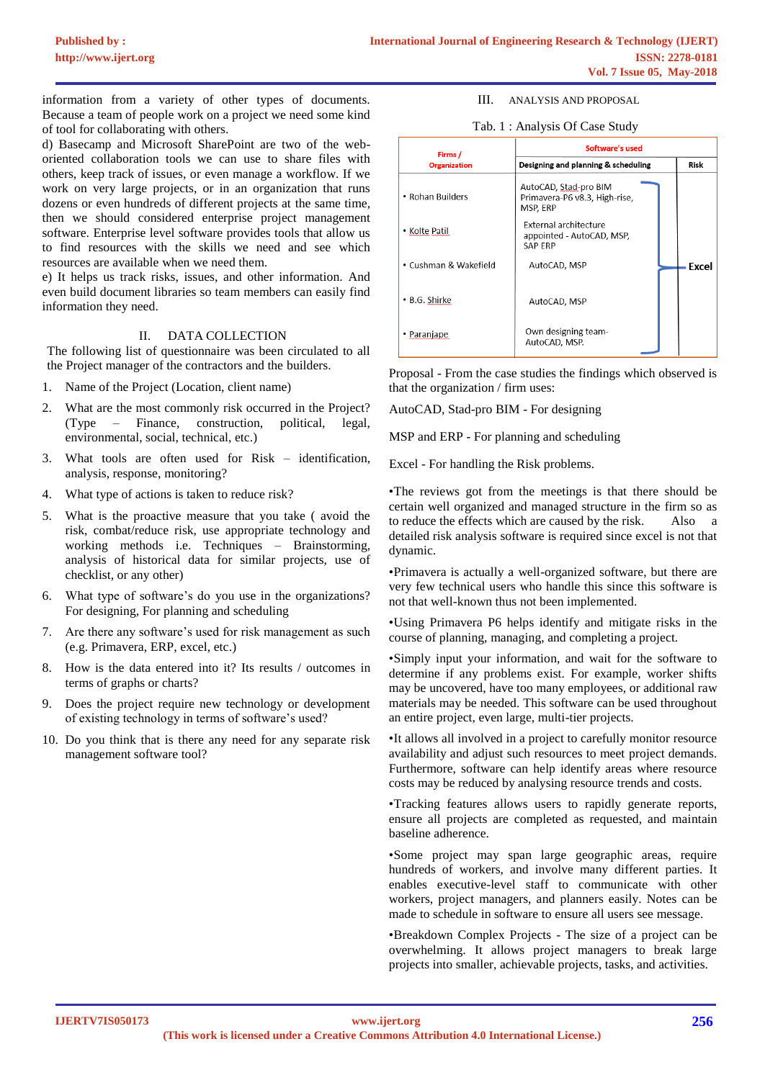information from a variety of other types of documents. Because a team of people work on a project we need some kind of tool for collaborating with others.

d) Basecamp and Microsoft SharePoint are two of the weboriented collaboration tools we can use to share files with others, keep track of issues, or even manage a workflow. If we work on very large projects, or in an organization that runs dozens or even hundreds of different projects at the same time, then we should considered enterprise project management software. Enterprise level software provides tools that allow us to find resources with the skills we need and see which resources are available when we need them.

e) It helps us track risks, issues, and other information. And even build document libraries so team members can easily find information they need.

# II. DATA COLLECTION

The following list of questionnaire was been circulated to all the Project manager of the contractors and the builders.

- 1. Name of the Project (Location, client name)
- 2. What are the most commonly risk occurred in the Project? (Type – Finance, construction, political, legal, environmental, social, technical, etc.)
- 3. What tools are often used for Risk identification, analysis, response, monitoring?
- 4. What type of actions is taken to reduce risk?
- 5. What is the proactive measure that you take ( avoid the risk, combat/reduce risk, use appropriate technology and working methods i.e. Techniques – Brainstorming, analysis of historical data for similar projects, use of checklist, or any other)
- 6. What type of software's do you use in the organizations? For designing, For planning and scheduling
- 7. Are there any software's used for risk management as such (e.g. Primavera, ERP, excel, etc.)
- 8. How is the data entered into it? Its results / outcomes in terms of graphs or charts?
- 9. Does the project require new technology or development of existing technology in terms of software's used?
- 10. Do you think that is there any need for any separate risk management software tool?

#### III. ANALYSIS AND PROPOSAL

## Tab. 1 : Analysis Of Case Study

| Firms /<br><b>Organization</b> | Software's used                                                      |       |  |  |
|--------------------------------|----------------------------------------------------------------------|-------|--|--|
|                                | Designing and planning & scheduling                                  | Risk  |  |  |
| • Rohan Builders               | AutoCAD, Stad-pro BIM<br>Primavera-P6 v8.3, High-rise,<br>MSP, ERP   |       |  |  |
| • Kolte Patil                  | External architecture<br>appointed - AutoCAD, MSP,<br><b>SAP ERP</b> |       |  |  |
| • Cushman & Wakefield          | AutoCAD, MSP                                                         | Excel |  |  |
| • B.G. Shirke                  | AutoCAD, MSP                                                         |       |  |  |
| Paranjape                      | Own designing team-<br>AutoCAD, MSP.                                 |       |  |  |

Proposal - From the case studies the findings which observed is that the organization / firm uses:

AutoCAD, Stad-pro BIM - For designing

MSP and ERP - For planning and scheduling

Excel - For handling the Risk problems.

•The reviews got from the meetings is that there should be certain well organized and managed structure in the firm so as to reduce the effects which are caused by the risk. Also a detailed risk analysis software is required since excel is not that dynamic.

•Primavera is actually a well-organized software, but there are very few technical users who handle this since this software is not that well-known thus not been implemented.

•Using Primavera P6 helps identify and mitigate risks in the course of planning, managing, and completing a project.

•Simply input your information, and wait for the software to determine if any problems exist. For example, worker shifts may be uncovered, have too many employees, or additional raw materials may be needed. This software can be used throughout an entire project, even large, multi-tier projects.

•It allows all involved in a project to carefully monitor resource availability and adjust such resources to meet project demands. Furthermore, software can help identify areas where resource costs may be reduced by analysing resource trends and costs.

•Tracking features allows users to rapidly generate reports, ensure all projects are completed as requested, and maintain baseline adherence.

•Some project may span large geographic areas, require hundreds of workers, and involve many different parties. It enables executive-level staff to communicate with other workers, project managers, and planners easily. Notes can be made to schedule in software to ensure all users see message.

•Breakdown Complex Projects - The size of a project can be overwhelming. It allows project managers to break large projects into smaller, achievable projects, tasks, and activities.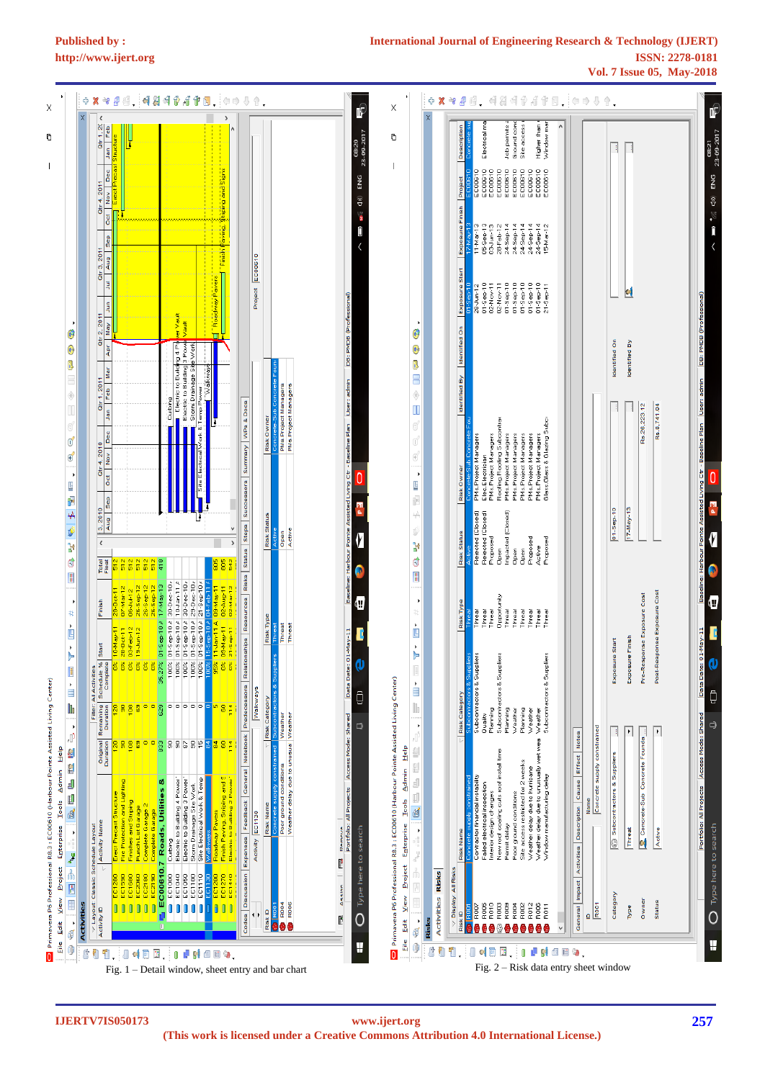

## **International Journal of Engineering Research & Technology (IJERT) http://www.ijert.org ISSN: 2278-0181 Vol. 7 Issue 05, May-2018**



**IJERTV7IS050173**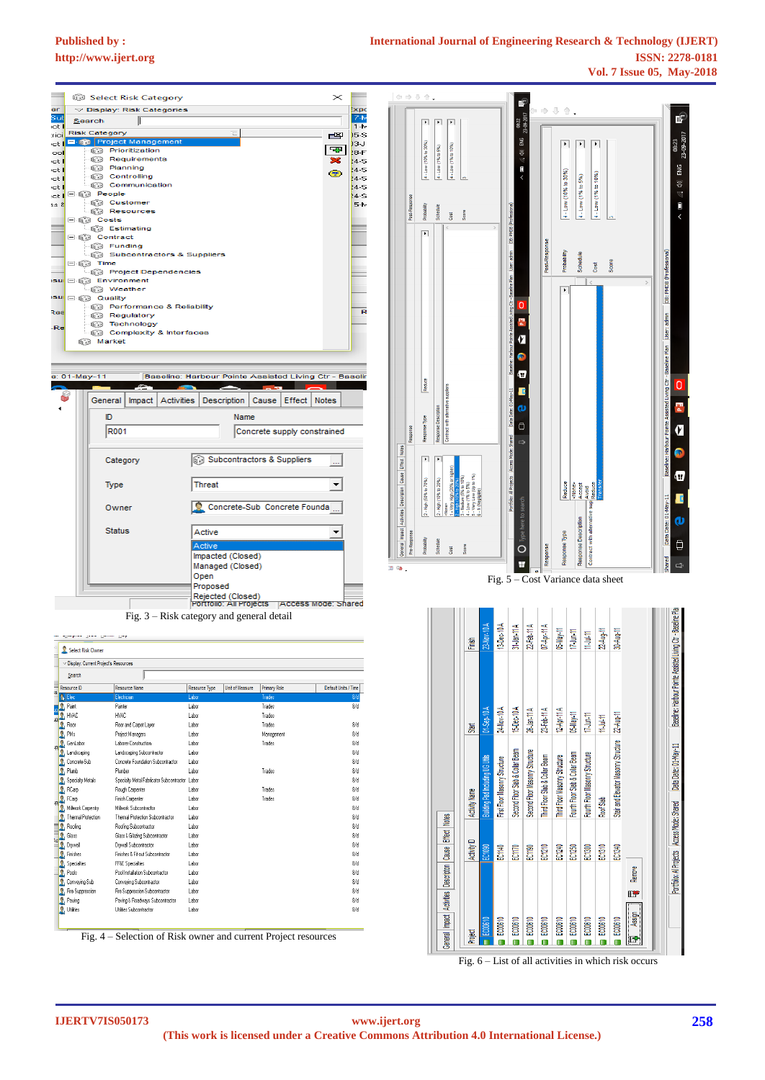**College** 

É

23-09-2017

 $\equiv$  (a) ENG

 $\overline{\overline{}}$ 

**NEGN** 

ė

Ξ

Ø

 $\overline{\mathbb{Q}}$ 

08:23



| Display: Current Project's Resources          |                                                |                      |                        |              |                      |
|-----------------------------------------------|------------------------------------------------|----------------------|------------------------|--------------|----------------------|
| Search                                        |                                                |                      |                        |              |                      |
| Resource ID                                   | <b>Resource Name</b>                           | <b>Resource Type</b> | <b>Unit of Measure</b> | Primary Role | Default Units / Time |
| <b>R</b> Elec                                 | Electrician                                    | Labor                |                        | Trades       | 8/d                  |
| Paint                                         | Painter                                        | Labor                |                        | Trades       | $8/$ d               |
| HVAC                                          | HVAC                                           | Lahor                |                        | Trades       |                      |
| Floor                                         | Floor and Carpet Layer                         | Labor                |                        | Trades       | 8/d                  |
| ¢<br>PMs                                      | Project Managers                               | Labor                |                        | Management   | 8/d                  |
| GenLabor                                      | Laborer-Construction                           | Labor                |                        | Trades       | 8/d                  |
| Landscaping                                   | Landscaping Subcontractor                      | Labor                |                        |              | 8/d                  |
| ٥<br>Concrete-Sub                             | Concrete Foundation Subcontractor              | Labor                |                        |              | 8/d                  |
| Ä<br>Plumb                                    | Plumber                                        | Lahor                |                        | Trades       | 8/d                  |
| ٨<br>Specialty Metals                         | Specialty Metal Fabricator Subcontractor Labor |                      |                        |              | 8/d                  |
| Ä<br>RCarp                                    | Rough Carpenter                                | Labor                |                        | Trades       | 8/d                  |
| $\overline{\mathbf{A}}_{\mathbf{q}}$<br>FCarp | Finish Carpenter                               | Labor                |                        | Trades       | 8/d                  |
| Milwork Carpentry                             | Milwork Subcontractor                          | Labor                |                        |              | 8/d                  |
| Thermal Protection                            | Thermal Protection Subcontractor               | Labor                |                        |              | 8/d                  |
| ۹<br>Roofing                                  | Roofing Subcontractor                          | Labor                |                        |              | 8/d                  |
| Ā<br>Glass                                    | Glass & Glazing Subcontractor                  | Labor                |                        |              | 8/d                  |
| ۳¢<br>Drywall                                 | Drwwall Subcontractor                          | Labor                |                        |              | 8/d                  |
| ٥<br>Finishes                                 | Finishes & Fit-out Subcontractor               | Labor                |                        |              | 8/d                  |
| Δ<br>Specialties                              | <b>FF&amp;E</b> Specialties                    | Labor                |                        |              | 8/d                  |
| ٨<br>Pools                                    | Pool Installation Subcontractor                | Labor                |                        |              | 8/d                  |
| Ä<br>Conveying-Sub                            | Conveying Subcontractor                        | Lahor                |                        |              | 8/d                  |
| Fire Suppression                              | Fire Suppression Subcontractor                 | Labor                |                        |              | 8/d                  |
| ğ,<br>Paving                                  | Paving & Roadways Subcontractor                | Labor                |                        |              | 8/d                  |
| Δ<br>Utilities                                | Utilities Subcontractor                        | Labor                |                        |              | 8/d                  |

Fig. 4 – Selection of Risk owner and current Project resources

Baselne Pla Baseline: Harbour Pointe Assisted Living Ctr -15-Dec-10A 23-Feb-11 A 24-Nov-10 A 26-Jan-11 A 12-Apr-11 A 05-May-11  $17$  Jun-11 22-Aug-11 11-Jul-11  $-$ Sen- $\overline{1}$ Start **Structure** Data Date: 01-May-11 Second Floor Slab & Collar Beam Second Floor Masonry Structure Fourth Floor Slab & Collar Beam Fourth Floor Masonry Structure Third Floor Slab & Collar Beam First Floor Masonry Structure Third Floor Masonry Structure Masonry Stair and Elevator Name Roof Slab Access Mode: Shared Activity I **Notes** Effect Activity D  $ECH30$ <br> $ECH30$ EC1240 EC1250  $\frac{1}{2}$ EC1140 EC1340 Cause Portfolio: All Projects Description Remov 畔 Activities Impact Assign ECOO610 EC00610 EC00610 EC00610 EC00810 EC00610 EC00610 EC00610 EC00610 Project General F П  $\blacksquare$  $\bullet$  $\blacksquare$  $\blacksquare$  $\blacksquare$  $\blacksquare$  $\blacksquare$ O

Fig.  $6$  – List of all activities in which risk occurs